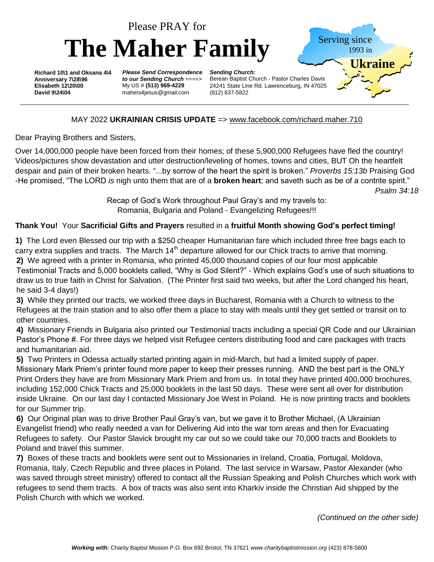

## MAY 2022 **UKRAINIAN CRISIS UPDATE** => [www.facebook.com/richard.maher.710](http://www.facebook.com/richard.maher.710)

Dear Praying Brothers and Sisters,

Over 14,000,000 people have been forced from their homes; of these 5,900,000 Refugees have fled the country! Videos/pictures show devastation and utter destruction/leveling of homes, towns and cities, BUT Oh the heartfelt despair and pain of their broken hearts. "...by sorrow of the heart the spirit is broken." *Proverbs 15:13b* Praising God -He promised, "The LORD *is* nigh unto them that are of a **broken heart**; and saveth such as be of a contrite spirit." *Psalm 34:18*

> Recap of God's Work throughout Paul Gray's and my travels to: Romania, Bulgaria and Poland - Evangelizing Refugees!!!

## **Thank You!** Your **Sacrificial Gifts and Prayers** resulted in a **fruitful Month showing God's perfect timing!**

**1)** The Lord even Blessed our trip with a \$250 cheaper Humanitarian fare which included three free bags each to carry extra supplies and tracts. The March  $14<sup>th</sup>$  departure allowed for our Chick tracts to arrive that morning. **2)** We agreed with a printer in Romania, who printed 45,000 thousand copies of our four most applicable Testimonial Tracts and 5,000 booklets called, "Why is God Silent?" - Which explains God's use of such situations to draw us to true faith in Christ for Salvation. (The Printer first said two weeks, but after the Lord changed his heart, he said 3-4 days!)

**3)** While they printed our tracts, we worked three days in Bucharest, Romania with a Church to witness to the Refugees at the train station and to also offer them a place to stay with meals until they get settled or transit on to other countries.

**4)** Missionary Friends in Bulgaria also printed our Testimonial tracts including a special QR Code and our Ukrainian Pastor's Phone #. For three days we helped visit Refugee centers distributing food and care packages with tracts and humanitarian aid.

**5)** Two Printers in Odessa actually started printing again in mid-March, but had a limited supply of paper. Missionary Mark Priem's printer found more paper to keep their presses running. AND the best part is the ONLY Print Orders they have are from Missionary Mark Priem and from us. In total they have printed 400,000 brochures, including 152,000 Chick Tracts and 25,000 booklets in the last 50 days. These were sent all over for distribution inside Ukraine. On our last day I contacted Missionary Joe West in Poland. He is now printing tracts and booklets for our Summer trip.

**6)** Our Original plan was to drive Brother Paul Gray's van, but we gave it to Brother Michael, (A Ukrainian Evangelist friend) who really needed a van for Delivering Aid into the war torn areas and then for Evacuating Refugees to safety. Our Pastor Slavick brought my car out so we could take our 70,000 tracts and Booklets to Poland and travel this summer.

**7)** Boxes of these tracts and booklets were sent out to Missionaries in Ireland, Croatia, Portugal, Moldova, Romania, Italy, Czech Republic and three places in Poland. The last service in Warsaw, Pastor Alexander (who was saved through street ministry) offered to contact all the Russian Speaking and Polish Churches which work with refugees to send them tracts. A box of tracts was also sent into Kharkiv inside the Christian Aid shipped by the Polish Church with which we worked.

*(Continued on the other side)*